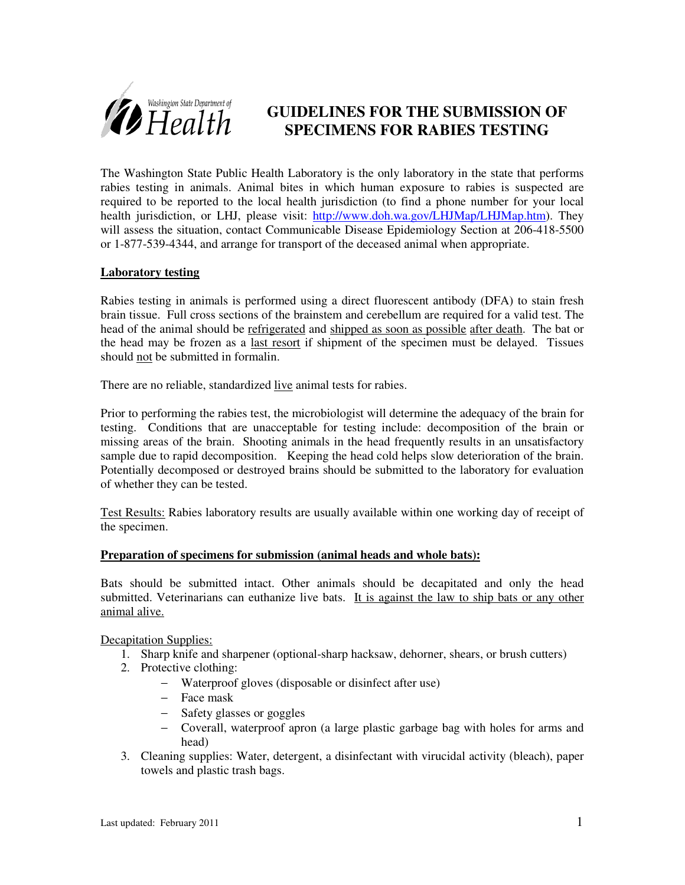

## **GUIDELINES FOR THE SUBMISSION OF SPECIMENS FOR RABIES TESTING**

The Washington State Public Health Laboratory is the only laboratory in the state that performs rabies testing in animals. Animal bites in which human exposure to rabies is suspected are required to be reported to the local health jurisdiction (to find a phone number for your local health jurisdiction, or LHJ, please visit: http://www.doh.wa.gov/LHJMap/LHJMap.htm). They will assess the situation, contact Communicable Disease Epidemiology Section at 206-418-5500 or 1-877-539-4344, and arrange for transport of the deceased animal when appropriate.

### **Laboratory testing**

Rabies testing in animals is performed using a direct fluorescent antibody (DFA) to stain fresh brain tissue. Full cross sections of the brainstem and cerebellum are required for a valid test. The head of the animal should be refrigerated and shipped as soon as possible after death. The bat or the head may be frozen as a last resort if shipment of the specimen must be delayed. Tissues should not be submitted in formalin.

There are no reliable, standardized live animal tests for rabies.

Prior to performing the rabies test, the microbiologist will determine the adequacy of the brain for testing. Conditions that are unacceptable for testing include: decomposition of the brain or missing areas of the brain. Shooting animals in the head frequently results in an unsatisfactory sample due to rapid decomposition. Keeping the head cold helps slow deterioration of the brain. Potentially decomposed or destroyed brains should be submitted to the laboratory for evaluation of whether they can be tested.

Test Results: Rabies laboratory results are usually available within one working day of receipt of the specimen.

### **Preparation of specimens for submission (animal heads and whole bats):**

Bats should be submitted intact. Other animals should be decapitated and only the head submitted. Veterinarians can euthanize live bats. It is against the law to ship bats or any other animal alive.

Decapitation Supplies:

- 1. Sharp knife and sharpener (optional-sharp hacksaw, dehorner, shears, or brush cutters)
- 2. Protective clothing:
	- − Waterproof gloves (disposable or disinfect after use)
	- − Face mask
	- − Safety glasses or goggles
	- − Coverall, waterproof apron (a large plastic garbage bag with holes for arms and head)
- 3. Cleaning supplies: Water, detergent, a disinfectant with virucidal activity (bleach), paper towels and plastic trash bags.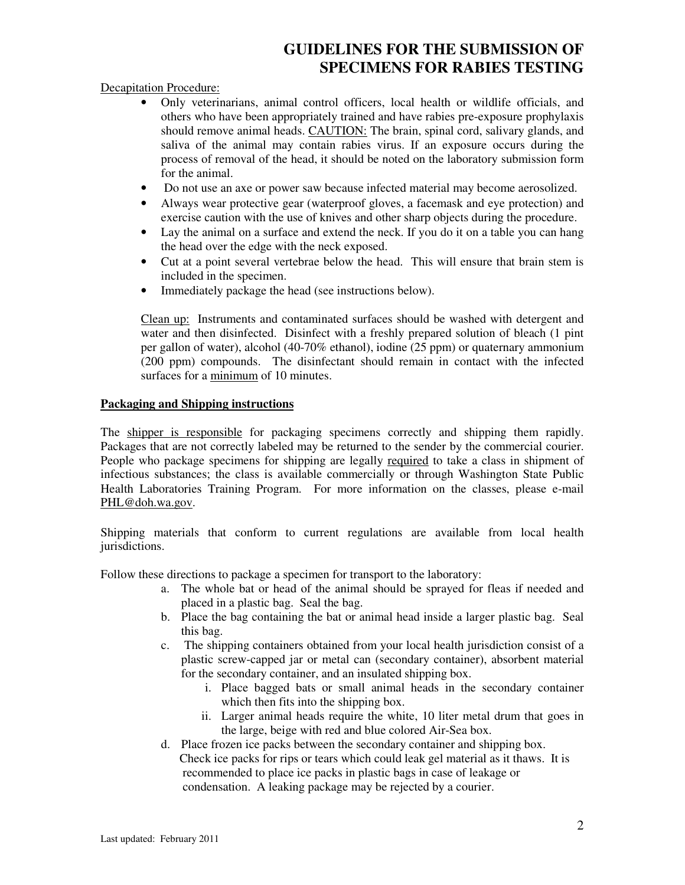# **GUIDELINES FOR THE SUBMISSION OF SPECIMENS FOR RABIES TESTING**

Decapitation Procedure:

- Only veterinarians, animal control officers, local health or wildlife officials, and others who have been appropriately trained and have rabies pre-exposure prophylaxis should remove animal heads. CAUTION: The brain, spinal cord, salivary glands, and saliva of the animal may contain rabies virus. If an exposure occurs during the process of removal of the head, it should be noted on the laboratory submission form for the animal.
- Do not use an axe or power saw because infected material may become aerosolized.
- Always wear protective gear (waterproof gloves, a facemask and eye protection) and exercise caution with the use of knives and other sharp objects during the procedure.
- Lay the animal on a surface and extend the neck. If you do it on a table you can hang the head over the edge with the neck exposed.
- Cut at a point several vertebrae below the head. This will ensure that brain stem is included in the specimen.
- Immediately package the head (see instructions below).

Clean up: Instruments and contaminated surfaces should be washed with detergent and water and then disinfected. Disinfect with a freshly prepared solution of bleach (1 pint per gallon of water), alcohol (40-70% ethanol), iodine (25 ppm) or quaternary ammonium (200 ppm) compounds. The disinfectant should remain in contact with the infected surfaces for a minimum of 10 minutes.

### **Packaging and Shipping instructions**

The shipper is responsible for packaging specimens correctly and shipping them rapidly. Packages that are not correctly labeled may be returned to the sender by the commercial courier. People who package specimens for shipping are legally required to take a class in shipment of infectious substances; the class is available commercially or through Washington State Public Health Laboratories Training Program. For more information on the classes, please e-mail PHL@doh.wa.gov.

Shipping materials that conform to current regulations are available from local health jurisdictions.

Follow these directions to package a specimen for transport to the laboratory:

- a. The whole bat or head of the animal should be sprayed for fleas if needed and placed in a plastic bag. Seal the bag.
- b. Place the bag containing the bat or animal head inside a larger plastic bag. Seal this bag.
- c. The shipping containers obtained from your local health jurisdiction consist of a plastic screw-capped jar or metal can (secondary container), absorbent material for the secondary container, and an insulated shipping box.
	- i. Place bagged bats or small animal heads in the secondary container which then fits into the shipping box.
	- ii. Larger animal heads require the white, 10 liter metal drum that goes in the large, beige with red and blue colored Air-Sea box.
- d. Place frozen ice packs between the secondary container and shipping box. Check ice packs for rips or tears which could leak gel material as it thaws. It is recommended to place ice packs in plastic bags in case of leakage or condensation. A leaking package may be rejected by a courier.